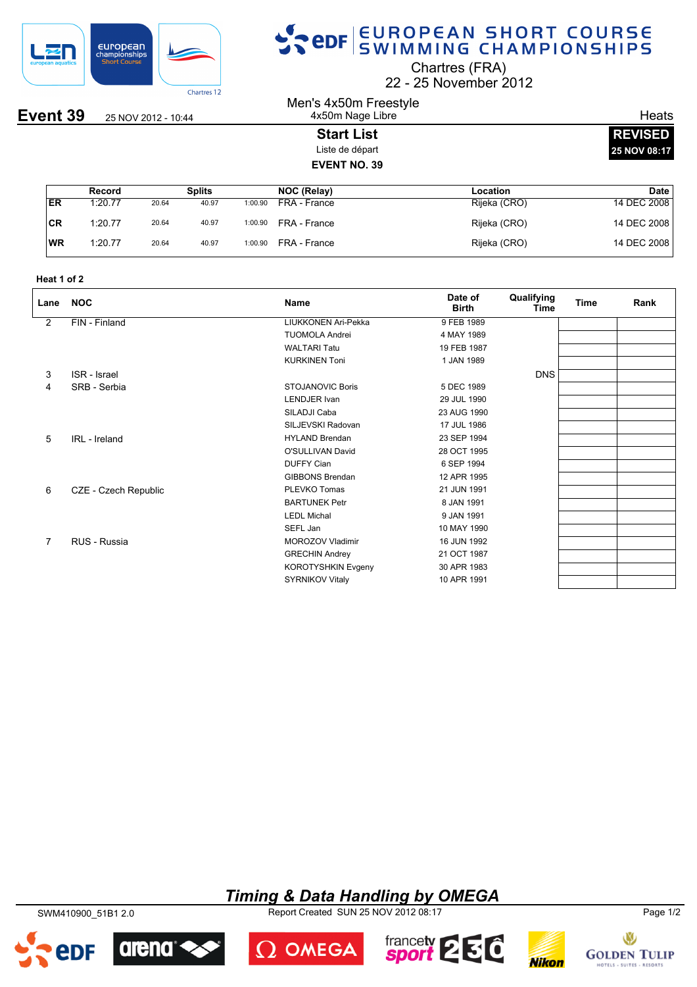

## SPOR SWIMMING CHAMPIONSHIPS

Chartres (FRA)

22 25 November 2012

#### Men's 4x50m Freestyle 4x50m Nage Libre

#### **Start List** Liste de départ **EVENT NO. 39**

**Heats REVISED 25 NOV 08:17**

|           | Record  |       | <b>Splits</b> |         | NOC (Relay)  | Location     | Date I      |
|-----------|---------|-------|---------------|---------|--------------|--------------|-------------|
| ER        | 1:20.77 | 20.64 | 40.97         | 1:00.90 | FRA - France | Rijeka (CRO) | 14 DEC 2008 |
| 'CR       | 1:20.77 | 20.64 | 40.97         | 1:00.90 | FRA - France | Rijeka (CRO) | 14 DEC 2008 |
| <b>WR</b> | 1:20.77 | 20.64 | 40.97         | 1:00.90 | FRA - France | Rijeka (CRO) | 14 DEC 2008 |

| Heat 1 of 2 |  |  |
|-------------|--|--|
|-------------|--|--|

| Lane | <b>NOC</b>           | Name                      | Date of<br><b>Birth</b> | Qualifying<br>Time | <b>Time</b> | Rank |
|------|----------------------|---------------------------|-------------------------|--------------------|-------------|------|
| 2    | FIN - Finland        | LIUKKONEN Ari-Pekka       | 9 FEB 1989              |                    |             |      |
|      |                      | <b>TUOMOLA Andrei</b>     | 4 MAY 1989              |                    |             |      |
|      |                      | <b>WALTARI Tatu</b>       | 19 FEB 1987             |                    |             |      |
|      |                      | <b>KURKINEN Toni</b>      | 1 JAN 1989              |                    |             |      |
| 3    | ISR - Israel         |                           |                         | <b>DNS</b>         |             |      |
| 4    | SRB - Serbia         | <b>STOJANOVIC Boris</b>   | 5 DEC 1989              |                    |             |      |
|      |                      | <b>LENDJER</b> Ivan       | 29 JUL 1990             |                    |             |      |
|      |                      | SILADJI Caba              | 23 AUG 1990             |                    |             |      |
|      |                      | SILJEVSKI Radovan         | 17 JUL 1986             |                    |             |      |
| 5    | IRL - Ireland        | <b>HYLAND Brendan</b>     | 23 SEP 1994             |                    |             |      |
|      |                      | O'SULLIVAN David          | 28 OCT 1995             |                    |             |      |
|      |                      | <b>DUFFY Cian</b>         | 6 SEP 1994              |                    |             |      |
|      |                      | <b>GIBBONS Brendan</b>    | 12 APR 1995             |                    |             |      |
| 6    | CZE - Czech Republic | PLEVKO Tomas              | 21 JUN 1991             |                    |             |      |
|      |                      | <b>BARTUNEK Petr</b>      | 8 JAN 1991              |                    |             |      |
|      |                      | <b>LEDL Michal</b>        | 9 JAN 1991              |                    |             |      |
|      |                      | SEFL Jan                  | 10 MAY 1990             |                    |             |      |
| 7    | RUS - Russia         | MOROZOV Vladimir          | 16 JUN 1992             |                    |             |      |
|      |                      | <b>GRECHIN Andrey</b>     | 21 OCT 1987             |                    |             |      |
|      |                      | <b>KOROTYSHKIN Evgeny</b> | 30 APR 1983             |                    |             |      |
|      |                      | <b>SYRNIKOV Vitaly</b>    | 10 APR 1991             |                    |             |      |

#### *Timing & Data Handling by OMEGA*

SWM410900\_51B1 2.0 Report Created SUN 25 NOV 2012 08:17 Page 1/2